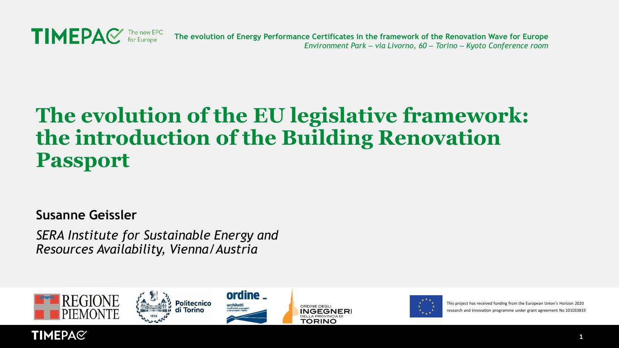

### **The evolution of the EU legislative framework: the introduction of the Building Renovation Passport**

**Susanne Geissler**

*SERA Institute for Sustainable Energy and Resources Availability, Vienna/Austria* 











This project has received funding from the European Union's Horizon 2020 research and innovation programme under grant agreement No 101033819

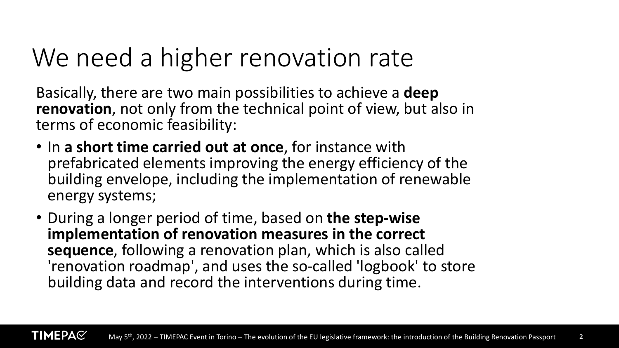# We need a higher renovation rate

Basically, there are two main possibilities to achieve a **deep renovation**, not only from the technical point of view, but also in terms of economic feasibility:

- In **a short time carried out at once**, for instance with prefabricated elements improving the energy efficiency of the building envelope, including the implementation of renewable energy systems;
- During a longer period of time, based on **the step-wise implementation of renovation measures in the correct sequence**, following a renovation plan, which is also called 'renovation roadmap', and uses the so-called 'logbook' to store building data and record the interventions during time.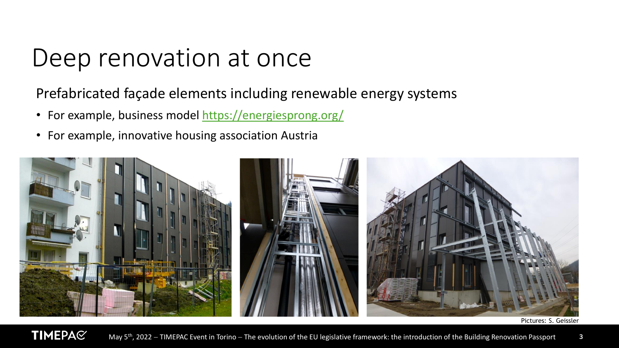## Deep renovation at once

#### Prefabricated façade elements including renewable energy systems

- For example, business model<https://energiesprong.org/>
- For example, innovative housing association Austria



Pictures: S. Geissler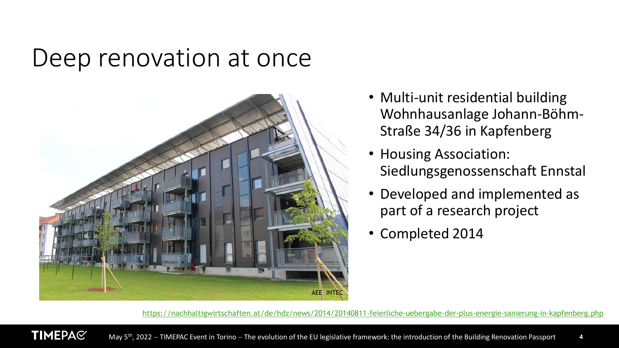### Deep renovation at once



**TIMEPA**C

- Multi-unit residential building Wohnhausanlage Johann-Böhm-Straße 34/36 in Kapfenberg
- Housing Association: Siedlungsgenossenschaft Ennstal
- Developed and implemented as part of a research project
- Completed 2014

<https://nachhaltigwirtschaften.at/de/hdz/news/2014/20140811-feierliche-uebergabe-der-plus-energie-sanierung-in-kapfenberg.php>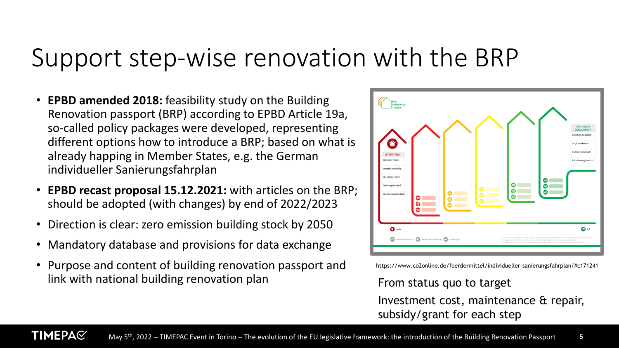## Support step-wise renovation with the BRP

- **EPBD amended 2018:** feasibility study on the Building Renovation passport (BRP) according to EPBD Article 19a, so-called policy packages were developed, representing different options how to introduce a BRP; based on what is already happing in Member States, e.g. the German individueller Sanierungsfahrplan
- **EPBD recast proposal 15.12.2021:** with articles on the BRP; should be adopted (with changes) by end of 2022/2023
- Direction is clear: zero emission building stock by 2050
- Mandatory database and provisions for data exchange
- Purpose and content of building renovation passport and link with national building renovation plan



https://www.co2online.de/foerdermittel/individueller-sanierungsfahrplan/#c171241

#### From status quo to target

Investment cost, maintenance & repair, subsidy/grant for each step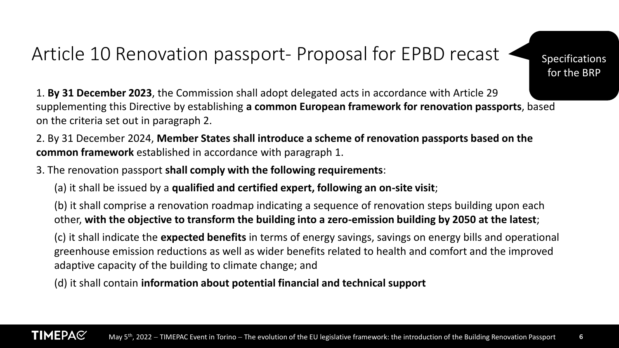### Article 10 Renovation passport- Proposal for EPBD recast

Specifications for the BRP

1. **By 31 December 2023**, the Commission shall adopt delegated acts in accordance with Article 29 supplementing this Directive by establishing **a common European framework for renovation passports**, based on the criteria set out in paragraph 2.

2. By 31 December 2024, **Member States shall introduce a scheme of renovation passports based on the common framework** established in accordance with paragraph 1.

3. The renovation passport **shall comply with the following requirements**:

(a) it shall be issued by a **qualified and certified expert, following an on-site visit**;

(b) it shall comprise a renovation roadmap indicating a sequence of renovation steps building upon each other, **with the objective to transform the building into a zero-emission building by 2050 at the latest**;

(c) it shall indicate the **expected benefits** in terms of energy savings, savings on energy bills and operational greenhouse emission reductions as well as wider benefits related to health and comfort and the improved adaptive capacity of the building to climate change; and

(d) it shall contain **information about potential financial and technical support**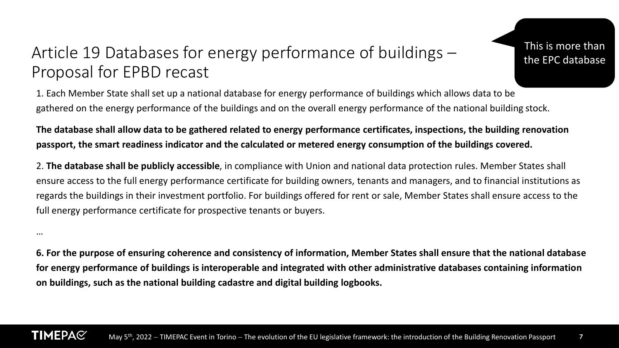### Article 19 Databases for energy performance of buildings – Proposal for EPBD recast

This is more than the EPC database

1. Each Member State shall set up a national database for energy performance of buildings which allows data to be gathered on the energy performance of the buildings and on the overall energy performance of the national building stock.

**The database shall allow data to be gathered related to energy performance certificates, inspections, the building renovation passport, the smart readiness indicator and the calculated or metered energy consumption of the buildings covered.**

2. **The database shall be publicly accessible**, in compliance with Union and national data protection rules. Member States shall ensure access to the full energy performance certificate for building owners, tenants and managers, and to financial institutions as regards the buildings in their investment portfolio. For buildings offered for rent or sale, Member States shall ensure access to the full energy performance certificate for prospective tenants or buyers.

…

**6. For the purpose of ensuring coherence and consistency of information, Member States shall ensure that the national database for energy performance of buildings is interoperable and integrated with other administrative databases containing information on buildings, such as the national building cadastre and digital building logbooks.**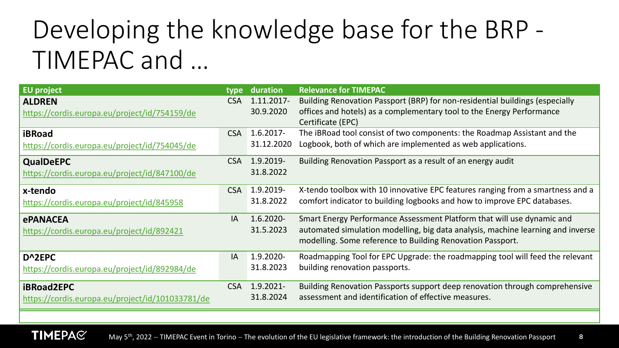# Developing the knowledge base for the BRP - TIMEPAC and …

| <b>EU project</b>                                |            | type duration | <b>Relevance for TIMEPAC</b>                                                    |
|--------------------------------------------------|------------|---------------|---------------------------------------------------------------------------------|
| <b>ALDREN</b>                                    | <b>CSA</b> | 1.11.2017-    | Building Renovation Passport (BRP) for non-residential buildings (especially    |
| https://cordis.europa.eu/project/id/754159/de    |            | 30.9.2020     | offices and hotels) as a complementary tool to the Energy Performance           |
|                                                  |            |               | Certificate (EPC)                                                               |
| iBRoad                                           | <b>CSA</b> | $1.6.2017 -$  | The iBRoad tool consist of two components: the Roadmap Assistant and the        |
| https://cordis.europa.eu/project/id/754045/de    |            | 31.12.2020    | Logbook, both of which are implemented as web applications.                     |
| <b>QualDeEPC</b>                                 | <b>CSA</b> | 1.9.2019-     | Building Renovation Passport as a result of an energy audit                     |
| https://cordis.europa.eu/project/id/847100/de    |            | 31.8.2022     |                                                                                 |
| x-tendo                                          | <b>CSA</b> | 1.9.2019-     | X-tendo toolbox with 10 innovative EPC features ranging from a smartness and a  |
| https://cordis.europa.eu/project/id/845958       |            | 31.8.2022     | comfort indicator to building logbooks and how to improve EPC databases.        |
| <b>ePANACEA</b>                                  | IA         | $1.6.2020 -$  | Smart Energy Performance Assessment Platform that will use dynamic and          |
| https://cordis.europa.eu/project/id/892421       |            | 31.5.2023     | automated simulation modelling, big data analysis, machine learning and inverse |
|                                                  |            |               | modelling. Some reference to Building Renovation Passport.                      |
| D^2EPC                                           | IA         | 1.9.2020-     | Roadmapping Tool for EPC Upgrade: the roadmapping tool will feed the relevant   |
| https://cordis.europa.eu/project/id/892984/de    |            | 31.8.2023     | building renovation passports.                                                  |
|                                                  |            |               |                                                                                 |
| <b>iBRoad2EPC</b>                                | <b>CSA</b> | $1.9.2021 -$  | Building Renovation Passports support deep renovation through comprehensive     |
| https://cordis.europa.eu/project/id/101033781/de |            | 31.8.2024     | assessment and identification of effective measures.                            |

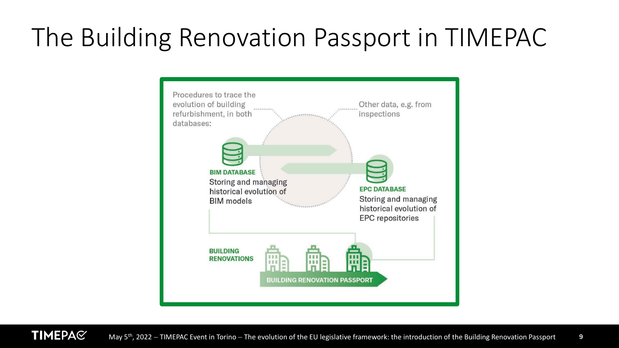# The Building Renovation Passport in TIMEPAC



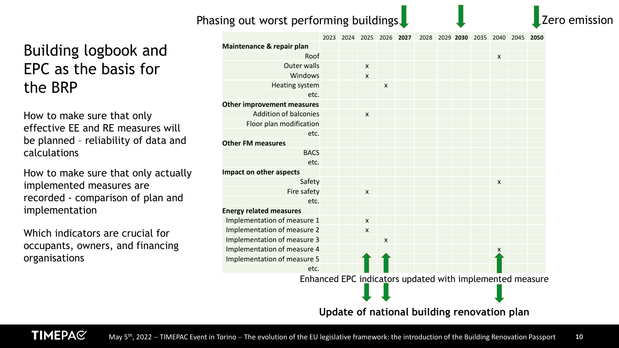#### Phasing out worst performing buildings.

### Building logbook and EPC as the basis for the BRP

How to make sure that only effective EE and RE measures will be planned – reliability of data and calculations

How to make sure that only actually implemented measures are recorded - comparison of plan and implementation

Which indicators are crucial for occupants, owners, and financing organisations

**TIMEPA**C

|                                                          |  |                           |                    | 2023 2024 2025 2026 2027 |  | 2028 2029 2030 2035 |                    | 2040 2045 2050 |  |
|----------------------------------------------------------|--|---------------------------|--------------------|--------------------------|--|---------------------|--------------------|----------------|--|
| Maintenance & repair plan                                |  |                           |                    |                          |  |                     |                    |                |  |
| Roof                                                     |  |                           |                    |                          |  |                     | $\mathsf{x}$       |                |  |
| <b>Outer walls</b>                                       |  | $\pmb{\mathsf{X}}$        |                    |                          |  |                     |                    |                |  |
| Windows                                                  |  | $\boldsymbol{\mathsf{x}}$ |                    |                          |  |                     |                    |                |  |
| Heating system                                           |  |                           | $\pmb{\mathsf{X}}$ |                          |  |                     |                    |                |  |
| etc.                                                     |  |                           |                    |                          |  |                     |                    |                |  |
| <b>Other improvement measures</b>                        |  |                           |                    |                          |  |                     |                    |                |  |
| <b>Addition of balconies</b>                             |  | $\pmb{\mathsf{X}}$        |                    |                          |  |                     |                    |                |  |
| Floor plan modification                                  |  |                           |                    |                          |  |                     |                    |                |  |
| etc.                                                     |  |                           |                    |                          |  |                     |                    |                |  |
| <b>Other FM measures</b>                                 |  |                           |                    |                          |  |                     |                    |                |  |
| <b>BACS</b>                                              |  |                           |                    |                          |  |                     |                    |                |  |
| etc.                                                     |  |                           |                    |                          |  |                     |                    |                |  |
| <b>Impact on other aspects</b>                           |  |                           |                    |                          |  |                     |                    |                |  |
| Safety                                                   |  |                           |                    |                          |  |                     | $\pmb{\mathsf{X}}$ |                |  |
| Fire safety                                              |  | $\pmb{\mathsf{x}}$        |                    |                          |  |                     |                    |                |  |
| etc.                                                     |  |                           |                    |                          |  |                     |                    |                |  |
| <b>Energy related measures</b>                           |  |                           |                    |                          |  |                     |                    |                |  |
| Implementation of measure 1                              |  | $\pmb{\mathsf{X}}$        |                    |                          |  |                     |                    |                |  |
| Implementation of measure 2                              |  | $\mathsf{x}$              |                    |                          |  |                     |                    |                |  |
| Implementation of measure 3                              |  |                           | X                  |                          |  |                     |                    |                |  |
| Implementation of measure 4                              |  |                           |                    |                          |  |                     | X                  |                |  |
| Implementation of measure 5                              |  |                           |                    |                          |  |                     |                    |                |  |
| etc.                                                     |  |                           |                    |                          |  |                     |                    |                |  |
| Enhanced EPC indicators updated with implemented measure |  |                           |                    |                          |  |                     |                    |                |  |

**Update of national building renovation plan**

'ero emission